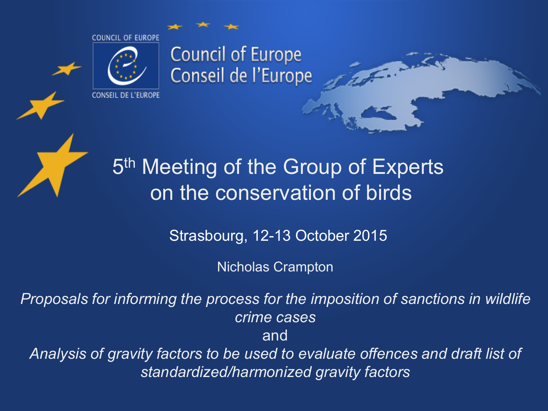





## 5<sup>th</sup> Meeting of the Group of Experts on the conservation of birds

Strasbourg, 12-13 October 2015

Nicholas Crampton

*Proposals for informing the process for the imposition of sanctions in wildlife crime cases*

and

*Analysis of gravity factors to be used to evaluate offences and draft list of standardized/harmonized gravity factors*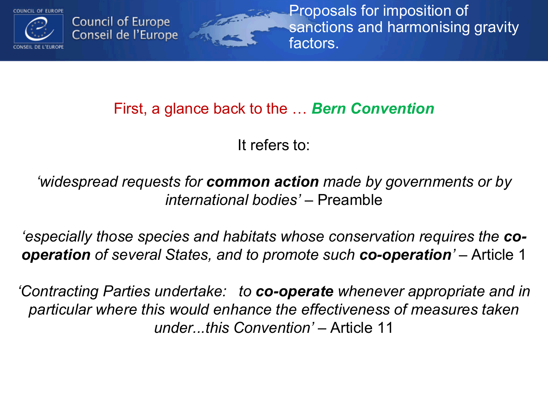

Proposals for imposition of sanctions and harmonising gravity factors.

### First, a glance back to the … *Bern Convention*

**Committee** 

It refers to:

*'widespread requests for common action made by governments or by international bodies'* – Preamble

*'especially those species and habitats whose conservation requires the cooperation of several States, and to promote such co-operation'* – Article 1

*'Contracting Parties undertake: to co-operate whenever appropriate and in particular where this would enhance the effectiveness of measures taken under...this Convention'* – Article 11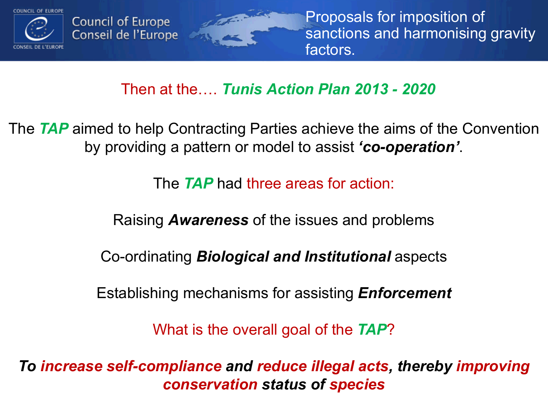

Proposals for imposition of sanctions and harmonising gravity factors.

Then at the…. *Tunis Action Plan 2013 - 2020*

The *TAP* aimed to help Contracting Parties achieve the aims of the Convention by providing a pattern or model to assist *'co-operation'*.

The *TAP* had three areas for action:

Raising *Awareness* of the issues and problems

Co-ordinating *Biological and Institutional* aspects

Establishing mechanisms for assisting *Enforcement*

What is the overall goal of the *TAP*?

*To increase self-compliance and reduce illegal acts, thereby improving conservation status of species*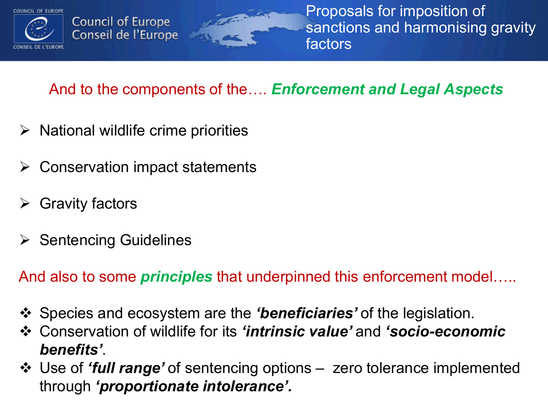

Proposals for imposition of sanctions and harmonising gravity factors

### And to the components of the…. *Enforcement and Legal Aspects*

The Country of the Country of

- $\triangleright$  National wildlife crime priorities
- $\triangleright$  Conservation impact statements
- $\triangleright$  Gravity factors
- Sentencing Guidelines

And also to some *principles* that underpinned this enforcement model…..

- Species and ecosystem are the *'beneficiaries'* of the legislation.
- Conservation of wildlife for its *'intrinsic value'* and *'socio-economic benefits'*.
- Use of *'full range'* of sentencing options zero tolerance implemented through *'proportionate intolerance'.*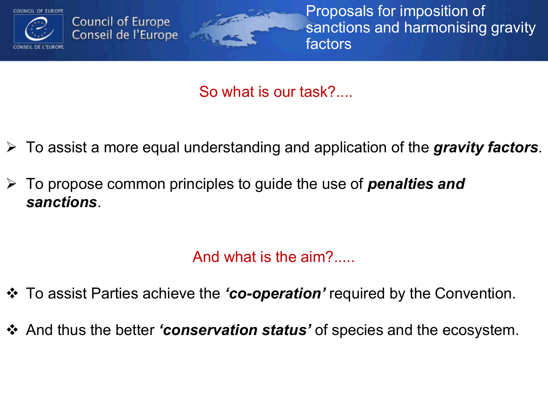

Proposals for imposition of sanctions and harmonising gravity factors

So what is our task?....

- To assist a more equal understanding and application of the *gravity factors*.
- To propose common principles to guide the use of *penalties and sanctions*.

The Country of

And what is the aim?.....

- To assist Parties achieve the *'co-operation'* required by the Convention.
- And thus the better *'conservation status'* of species and the ecosystem.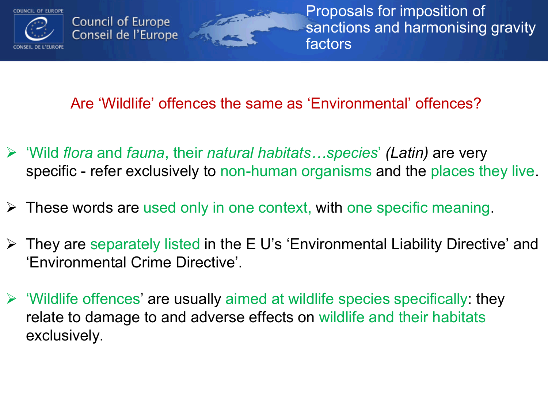

Proposals for imposition of sanctions and harmonising gravity factors

Are 'Wildlife' offences the same as 'Environmental' offences?

- 'Wild *flora* and *fauna*, their *natural habitats…species*' *(Latin)* are very specific - refer exclusively to non-human organisms and the places they live.
- $\triangleright$  These words are used only in one context, with one specific meaning.

The Council of

- $\triangleright$  They are separately listed in the E U's 'Environmental Liability Directive' and 'Environmental Crime Directive'.
- $\triangleright$  'Wildlife offences' are usually aimed at wildlife species specifically: they relate to damage to and adverse effects on wildlife and their habitats exclusively.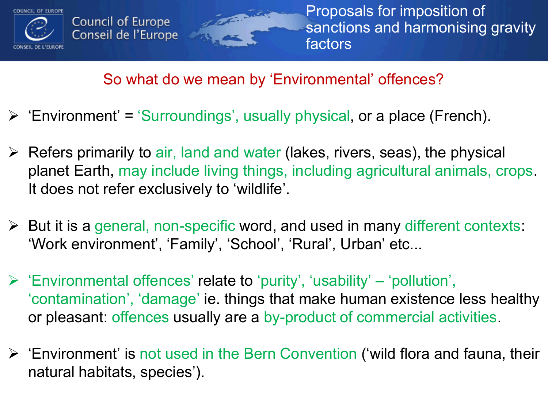

Proposals for imposition of sanctions and harmonising gravity factors

#### So what do we mean by 'Environmental' offences?

 $\triangleright$  'Environment' = 'Surroundings', usually physical, or a place (French).

i province de la Carde

- $\triangleright$  Refers primarily to air, land and water (lakes, rivers, seas), the physical planet Earth, may include living things, including agricultural animals, crops. It does not refer exclusively to 'wildlife'.
- But it is a general, non-specific word, and used in many different contexts: 'Work environment', 'Family', 'School', 'Rural', Urban' etc...
- $\triangleright$  'Environmental offences' relate to 'purity', 'usability' 'pollution', 'contamination', 'damage' ie. things that make human existence less healthy or pleasant: offences usually are a by-product of commercial activities.
- 'Environment' is not used in the Bern Convention ('wild flora and fauna, their natural habitats, species').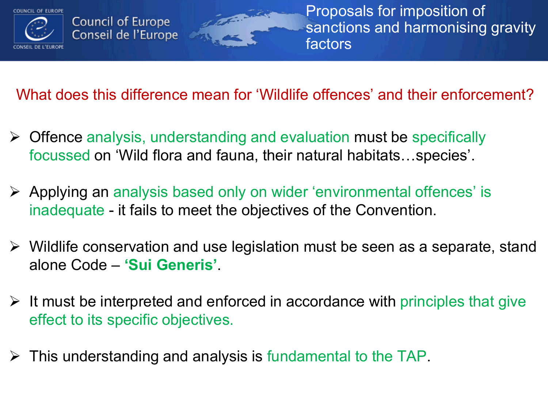

Proposals for imposition of sanctions and harmonising gravity factors

What does this difference mean for 'Wildlife offences' and their enforcement?

 $\triangleright$  Offence analysis, understanding and evaluation must be specifically focussed on 'Wild flora and fauna, their natural habitats…species'.

in the Court of

- Applying an analysis based only on wider 'environmental offences' is inadequate - it fails to meet the objectives of the Convention.
- $\triangleright$  Wildlife conservation and use legislation must be seen as a separate, stand alone Code – **'Sui Generis'**.
- $\triangleright$  It must be interpreted and enforced in accordance with principles that give effect to its specific objectives.
- $\triangleright$  This understanding and analysis is fundamental to the TAP.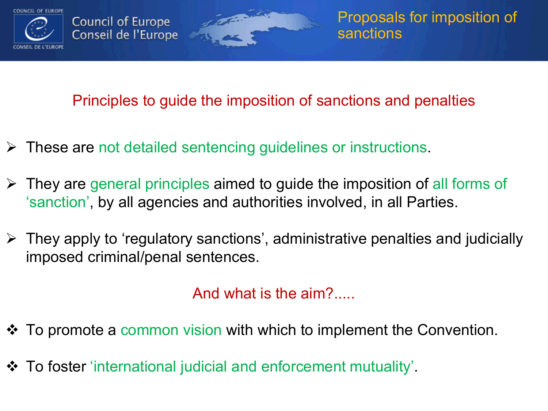

Principles to guide the imposition of sanctions and penalties

- These are not detailed sentencing guidelines or instructions.
- $\triangleright$  They are general principles aimed to guide the imposition of all forms of 'sanction', by all agencies and authorities involved, in all Parties.
- $\triangleright$  They apply to 'regulatory sanctions', administrative penalties and judicially imposed criminal/penal sentences.

And what is the aim?.....

- $\triangle$  To promote a common vision with which to implement the Convention.
- To foster 'international judicial and enforcement mutuality'.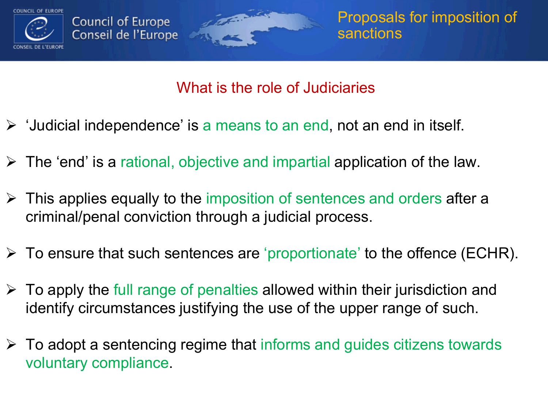

#### What is the role of Judiciaries

- $\triangleright$  'Judicial independence' is a means to an end, not an end in itself.
- $\triangleright$  The 'end' is a rational, objective and impartial application of the law.
- $\triangleright$  This applies equally to the imposition of sentences and orders after a criminal/penal conviction through a judicial process.
- $\triangleright$  To ensure that such sentences are 'proportionate' to the offence (ECHR).
- $\triangleright$  To apply the full range of penalties allowed within their jurisdiction and identify circumstances justifying the use of the upper range of such.
- $\triangleright$  To adopt a sentencing regime that informs and guides citizens towards voluntary compliance.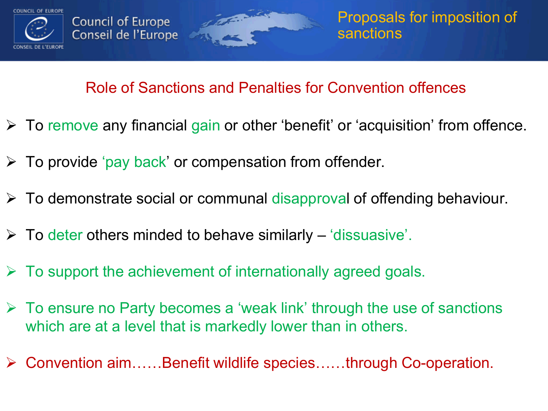

#### Role of Sanctions and Penalties for Convention offences

- To remove any financial gain or other 'benefit' or 'acquisition' from offence.
- $\triangleright$  To provide 'pay back' or compensation from offender.
- $\triangleright$  To demonstrate social or communal disapproval of offending behaviour.
- $\triangleright$  To deter others minded to behave similarly 'dissuasive'.
- $\triangleright$  To support the achievement of internationally agreed goals.
- $\triangleright$  To ensure no Party becomes a 'weak link' through the use of sanctions which are at a level that is markedly lower than in others.
- Convention aim……Benefit wildlife species……through Co-operation.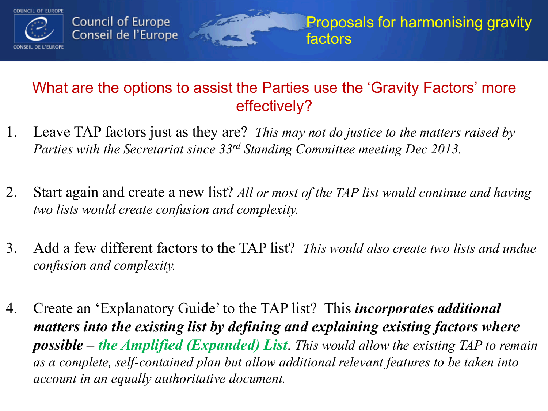

#### What are the options to assist the Parties use the 'Gravity Factors' more effectively?

- 1. Leave TAP factors just as they are? *This may not do justice to the matters raised by Parties with the Secretariat since 33rd Standing Committee meeting Dec 2013.*
- 2. Start again and create a new list? *All or most of the TAP list would continue and having two lists would create confusion and complexity.*
- 3. Add a few different factors to the TAP list? *This would also create two lists and undue confusion and complexity.*
- 4. Create an 'Explanatory Guide' to the TAP list? This *incorporates additional matters into the existing list by defining and explaining existing factors where possible – the Amplified (Expanded) List*. *This would allow the existing TAP to remain as a complete, self-contained plan but allow additional relevant features to be taken into account in an equally authoritative document.*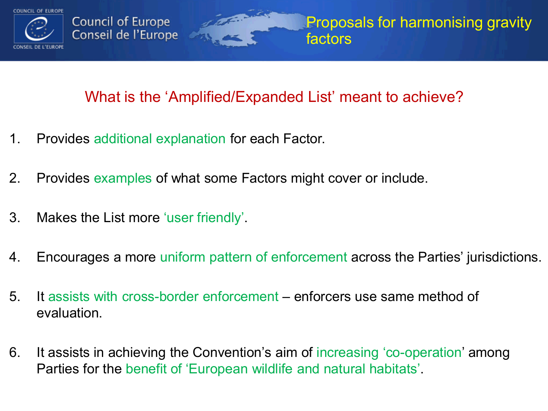

#### What is the 'Amplified/Expanded List' meant to achieve?

- 1. Provides additional explanation for each Factor.
- 2. Provides examples of what some Factors might cover or include.
- 3. Makes the List more 'user friendly'.
- 4. Encourages a more uniform pattern of enforcement across the Parties' jurisdictions.
- 5. It assists with cross-border enforcement enforcers use same method of evaluation.
- 6. It assists in achieving the Convention's aim of increasing 'co-operation' among Parties for the benefit of 'European wildlife and natural habitats'.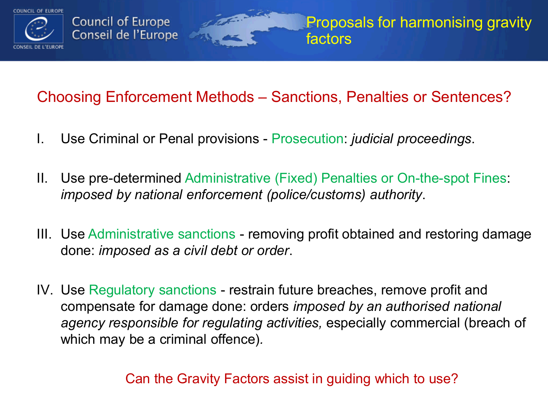

#### Choosing Enforcement Methods – Sanctions, Penalties or Sentences?

- I. Use Criminal or Penal provisions Prosecution: *judicial proceedings*.
- II. Use pre-determined Administrative (Fixed) Penalties or On-the-spot Fines: *imposed by national enforcement (police/customs) authority*.
- III. Use Administrative sanctions removing profit obtained and restoring damage done: *imposed as a civil debt or order*.
- IV. Use Regulatory sanctions restrain future breaches, remove profit and compensate for damage done: orders *imposed by an authorised national agency responsible for regulating activities,* especially commercial (breach of which may be a criminal offence)*.*

Can the Gravity Factors assist in guiding which to use?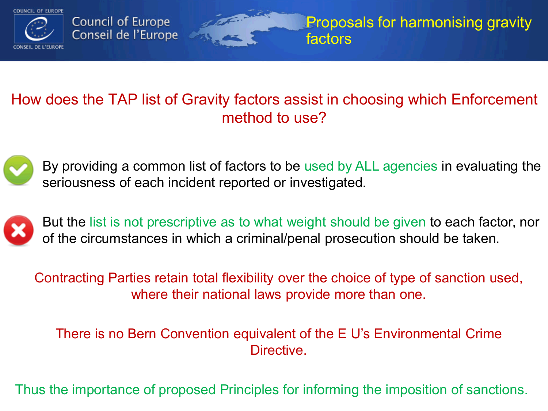

#### How does the TAP list of Gravity factors assist in choosing which Enforcement method to use?



By providing a common list of factors to be used by ALL agencies in evaluating the seriousness of each incident reported or investigated.



But the list is not prescriptive as to what weight should be given to each factor, nor of the circumstances in which a criminal/penal prosecution should be taken.

Contracting Parties retain total flexibility over the choice of type of sanction used, where their national laws provide more than one.

There is no Bern Convention equivalent of the E U's Environmental Crime Directive.

Thus the importance of proposed Principles for informing the imposition of sanctions.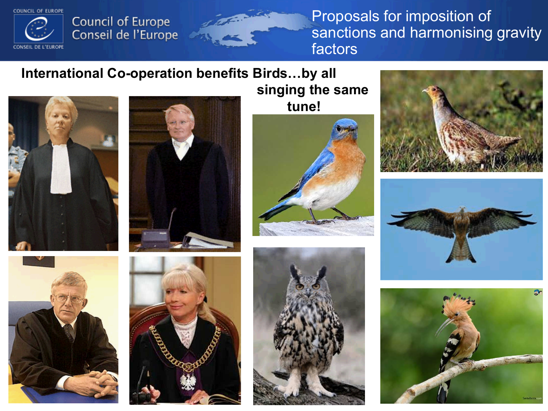**COUNCIL OF EUROPE** 



# Council of Europe<br>Conseil de l'Europe

Proposals for imposition of sanctions and harmonising gravity factors

#### **International Co-operation benefits Birds…by all**